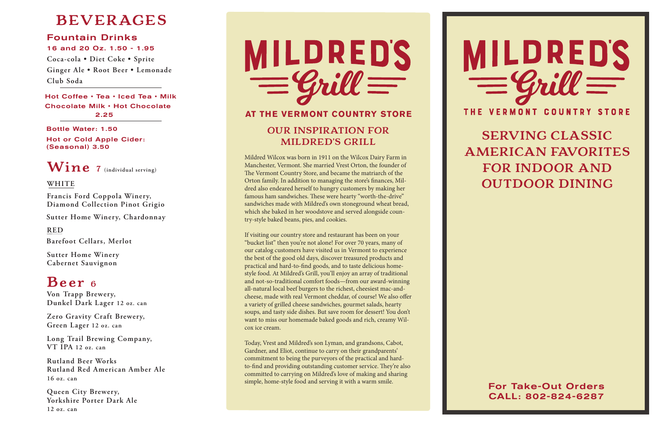#### Fountain Drinks

#### 16 and 20 Oz. 1.50 - 1.95

**Coca-cola • Diet Coke • Sprite Ginger Ale • Root Beer • Lemonade Club Soda**

**Francis Ford Coppola Winery, Diamond Collection Pinot Grigio**

**Von Trapp Brewery, Dunkel Dark Lager 12 oz. can** 

**Zero Gravity Craft Brewery, Green Lager 12 oz. can** 

**Long Trail Brewing Company, VT IPA 12 oz. can** 

**Rutland Beer Works Rutland Red American Amber Ale 16 oz. can** 

Hot Coffee • Tea • Iced Tea • Milk Chocolate Milk • Hot Chocolate 2.25

**Queen City Brewery, Yorkshire Porter Dark Ale 12 oz. can** 

# $MILDREDS$ <br>  $=$   $Quil =$

**Sutter Home Winery, Chardonnay**

**Sutter Home Winery Cabernet Sauvignon**

**Barefoot Cellars, Merlot**

Bottle Water: 1.50 Hot or Cold Apple Cider: (Seasonal) 3.50

## **BEVERAGES**

## **Beer 6**

#### **WHITE**

**RED**

**Wine 7 (individual serving)**

**MILDRED'S GRILL**

Mildred Wilcox was born in 1911 on the Wilcox Dairy Farm in Manchester, Vermont. She married Vrest Orton, the founder of The Vermont Country Store, and became the matriarch of the Orton family. In addition to managing the store's finances, Mil dred also endeared herself to hungry customers by making her famous ham sandwiches. These were hearty "worth-the-drive" sandwiches made with Mildred's own stoneground wheat bread, which she baked in her woodstove and served alongside coun try-style baked beans, pies, and cookies.

**OUR INSPIRATION FOR AT THE VERMONT COUNTRY STORE**

If visiting our country store and restaurant has been on your "bucket list" then you're not alone! For over 70 years, many of our catalog customers have visited us in Vermont to experience the best of the good old days, discover treasured products and practical and hard-to-find goods, and to taste delicious homestyle food. At Mildred's Grill, you'll enjoy an array of traditional and not-so-traditional comfort foods—from our award-winning all-natural local beef burgers to the richest, cheesiest mac-andcheese, made with real Vermont cheddar, of course! We also offer a variety of grilled cheese sandwiches, gourmet salads, hearty soups, and tasty side dishes. But save room for dessert! You don't want to miss our homemade baked goods and rich, creamy Wil cox ice cream.

Today, Vrest and Mildred's son Lyman, and grandsons, Cabot, Gardner, and Eliot, continue to carry on their grandparents' commitment to being the purveyors of the practical and hardto-find and providing outstanding customer service. They're also committed to carrying on Mildred's love of making and sharing simple, home-style food and serving it with a warm smile.



For Take-Out Orders CALL: 802-824-6287

**SERVING CLASSIC AMERICAN FAVORITES FOR INDOOR AND OUTDOOR DINING**